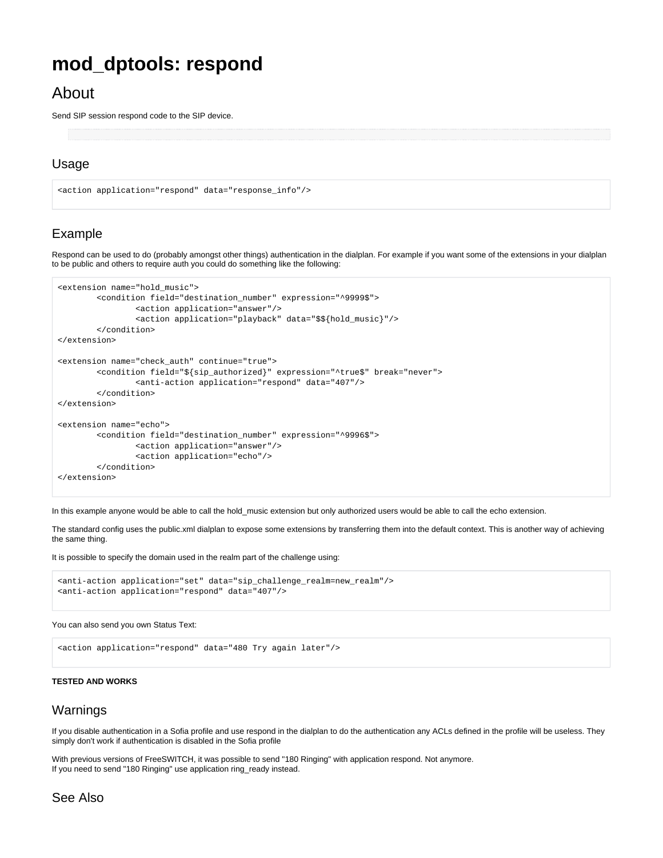# **mod\_dptools: respond**

# About

Send SIP session respond code to the SIP device.

## Usage

```
<action application="respond" data="response_info"/>
```
# Example

Respond can be used to do (probably amongst other things) authentication in the dialplan. For example if you want some of the extensions in your dialplan to be public and others to require auth you could do something like the following:

```
<extension name="hold_music">
         <condition field="destination_number" expression="^9999$">
                 <action application="answer"/>
                 <action application="playback" data="$${hold_music}"/>
         </condition>
</extension>
<extension name="check_auth" continue="true"> 
         <condition field="${sip_authorized}" expression="^true$" break="never"> 
                 <anti-action application="respond" data="407"/> 
         </condition> 
</extension>
<extension name="echo">
         <condition field="destination_number" expression="^9996$">
                 <action application="answer"/>
                 <action application="echo"/>
         </condition>
</extension>
```
In this example anyone would be able to call the hold\_music extension but only authorized users would be able to call the echo extension.

The standard config uses the public.xml dialplan to expose some extensions by transferring them into the default context. This is another way of achieving the same thing.

It is possible to specify the domain used in the realm part of the challenge using:

```
<anti-action application="set" data="sip_challenge_realm=new_realm"/> 
<anti-action application="respond" data="407"/>
```
#### You can also send you own Status Text:

```
<action application="respond" data="480 Try again later"/>
```
#### **TESTED AND WORKS**

### Warnings

If you disable authentication in a Sofia profile and use respond in the dialplan to do the authentication any ACLs defined in the profile will be useless. They simply don't work if authentication is disabled in the Sofia profile

With previous versions of FreeSWITCH, it was possible to send "180 Ringing" with application respond. Not anymore. If you need to send "180 Ringing" use application ring\_ready instead.

## See Also